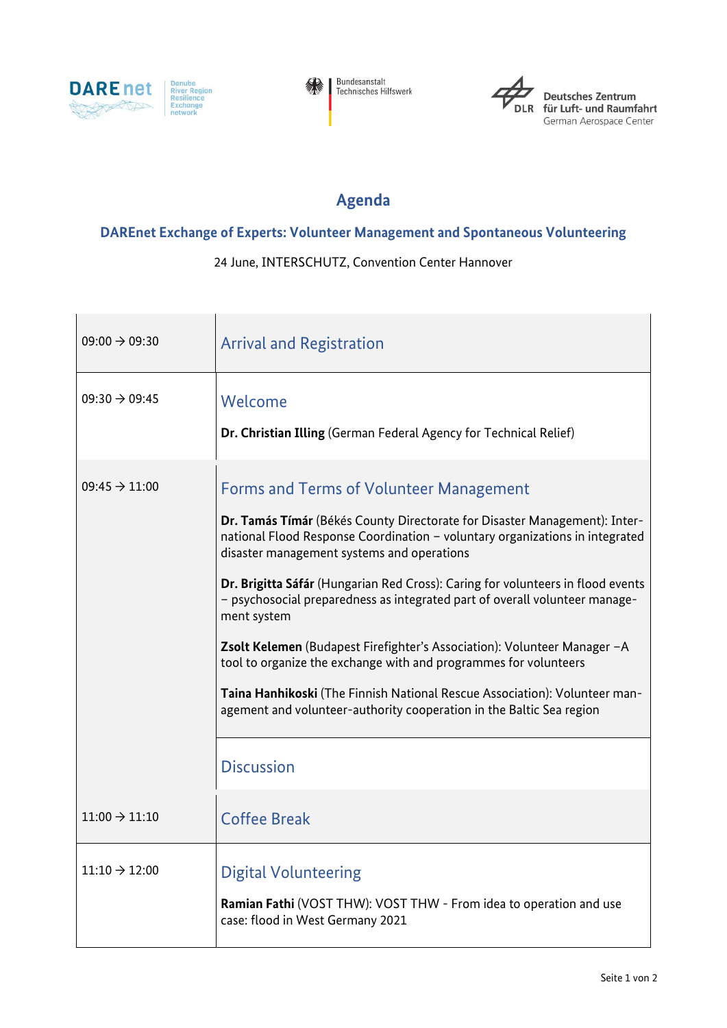





Deutsches Zentrum<br>für Luft- und Raumfahrt German Aerospace Center

## **Agenda**

## **DAREnet Exchange of Experts: Volunteer Management and Spontaneous Volunteering**

24 June, INTERSCHUTZ, Convention Center Hannover

| $09:00 \rightarrow 09:30$ | <b>Arrival and Registration</b>                                                                                                                                                                                                                                                                                                                                                                                                                                                                                                                                                                                                                                                                                                                   |
|---------------------------|---------------------------------------------------------------------------------------------------------------------------------------------------------------------------------------------------------------------------------------------------------------------------------------------------------------------------------------------------------------------------------------------------------------------------------------------------------------------------------------------------------------------------------------------------------------------------------------------------------------------------------------------------------------------------------------------------------------------------------------------------|
| $09:30 \rightarrow 09:45$ | Welcome<br>Dr. Christian Illing (German Federal Agency for Technical Relief)                                                                                                                                                                                                                                                                                                                                                                                                                                                                                                                                                                                                                                                                      |
| $09:45 \rightarrow 11:00$ | <b>Forms and Terms of Volunteer Management</b><br>Dr. Tamás Tímár (Békés County Directorate for Disaster Management): Inter-<br>national Flood Response Coordination - voluntary organizations in integrated<br>disaster management systems and operations<br>Dr. Brigitta Sáfár (Hungarian Red Cross): Caring for volunteers in flood events<br>- psychosocial preparedness as integrated part of overall volunteer manage-<br>ment system<br>Zsolt Kelemen (Budapest Firefighter's Association): Volunteer Manager -A<br>tool to organize the exchange with and programmes for volunteers<br>Taina Hanhikoski (The Finnish National Rescue Association): Volunteer man-<br>agement and volunteer-authority cooperation in the Baltic Sea region |
|                           | <b>Discussion</b>                                                                                                                                                                                                                                                                                                                                                                                                                                                                                                                                                                                                                                                                                                                                 |
| $11:00 \rightarrow 11:10$ | <b>Coffee Break</b>                                                                                                                                                                                                                                                                                                                                                                                                                                                                                                                                                                                                                                                                                                                               |
| $11:10 \rightarrow 12:00$ | <b>Digital Volunteering</b><br><b>Ramian Fathi</b> (VOST THW): VOST THW - From idea to operation and use<br>case: flood in West Germany 2021                                                                                                                                                                                                                                                                                                                                                                                                                                                                                                                                                                                                      |